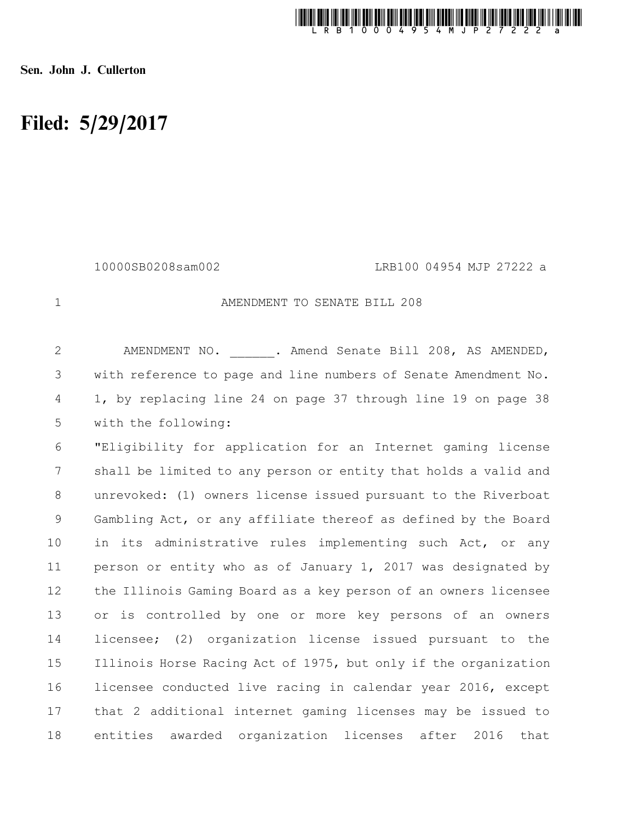

Sen. John J. Cullerton

## Filed: 5/29/2017

10000SB0208sam002 LRB100 04954 MJP 27222 a

1

## AMENDMENT TO SENATE BILL 208

AMENDMENT NO. . Amend Senate Bill 208, AS AMENDED, with reference to page and line numbers of Senate Amendment No. 1, by replacing line 24 on page 37 through line 19 on page 38 with the following: 2 3 4 5

"Eligibility for application for an Internet gaming license shall be limited to any person or entity that holds a valid and unrevoked: (1) owners license issued pursuant to the Riverboat Gambling Act, or any affiliate thereof as defined by the Board in its administrative rules implementing such Act, or any person or entity who as of January 1, 2017 was designated by the Illinois Gaming Board as a key person of an owners licensee or is controlled by one or more key persons of an owners licensee; (2) organization license issued pursuant to the Illinois Horse Racing Act of 1975, but only if the organization licensee conducted live racing in calendar year 2016, except that 2 additional internet gaming licenses may be issued to entities awarded organization licenses after 2016 that 6 7 8 9 10 11 12 13 14 15 16 17 18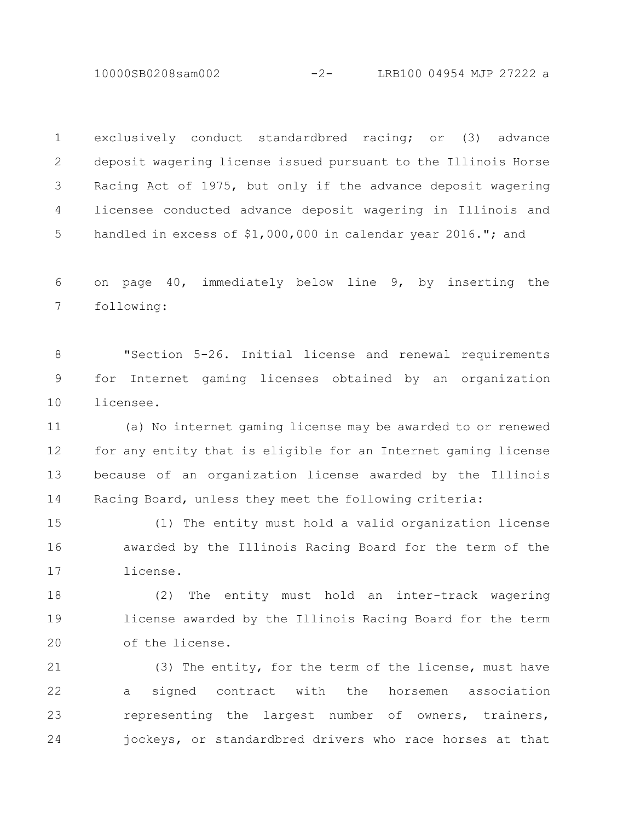10000SB0208sam002 -2- LRB100 04954 MJP 27222 a

exclusively conduct standardbred racing; or (3) advance deposit wagering license issued pursuant to the Illinois Horse Racing Act of 1975, but only if the advance deposit wagering licensee conducted advance deposit wagering in Illinois and handled in excess of \$1,000,000 in calendar year 2016."; and 1 2 3 4 5

on page 40, immediately below line 9, by inserting the following: 6 7

"Section 5-26. Initial license and renewal requirements for Internet gaming licenses obtained by an organization licensee. 8 9 10

(a) No internet gaming license may be awarded to or renewed for any entity that is eligible for an Internet gaming license because of an organization license awarded by the Illinois Racing Board, unless they meet the following criteria: 11 12 13 14

(1) The entity must hold a valid organization license awarded by the Illinois Racing Board for the term of the license. 15 16 17

(2) The entity must hold an inter-track wagering license awarded by the Illinois Racing Board for the term of the license. 18 19 20

(3) The entity, for the term of the license, must have a signed contract with the horsemen association representing the largest number of owners, trainers, jockeys, or standardbred drivers who race horses at that 21 22 23 24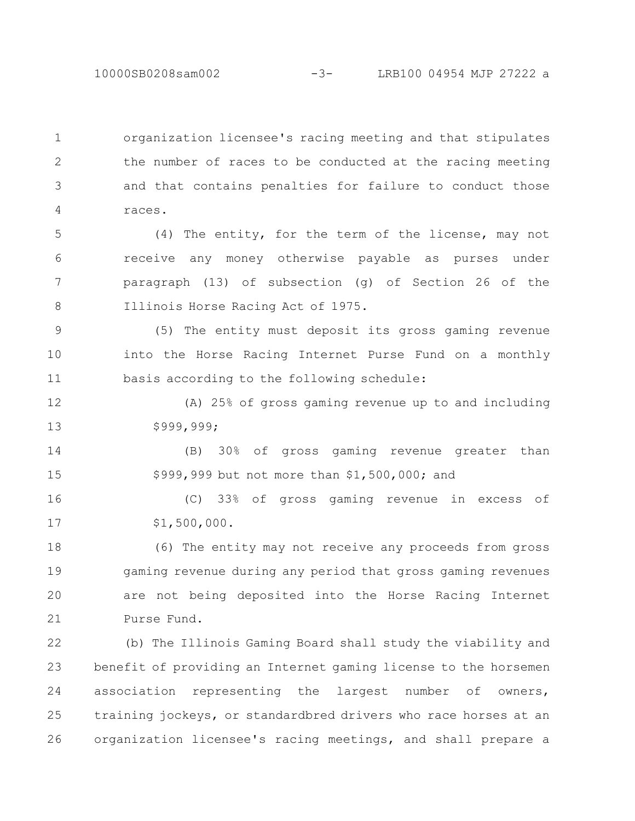10000SB0208sam002 -3- LRB100 04954 MJP 27222 a

organization licensee's racing meeting and that stipulates the number of races to be conducted at the racing meeting and that contains penalties for failure to conduct those races. 1 2 3 4

(4) The entity, for the term of the license, may not receive any money otherwise payable as purses under paragraph (13) of subsection (g) of Section 26 of the Illinois Horse Racing Act of 1975. 5 6 7 8

(5) The entity must deposit its gross gaming revenue into the Horse Racing Internet Purse Fund on a monthly basis according to the following schedule: 9 10 11

(A) 25% of gross gaming revenue up to and including \$999,999; 12 13

(B) 30% of gross gaming revenue greater than \$999,999 but not more than \$1,500,000; and 14 15

(C) 33% of gross gaming revenue in excess of \$1,500,000. 16 17

(6) The entity may not receive any proceeds from gross gaming revenue during any period that gross gaming revenues are not being deposited into the Horse Racing Internet Purse Fund. 18 19 20 21

(b) The Illinois Gaming Board shall study the viability and benefit of providing an Internet gaming license to the horsemen association representing the largest number of owners, training jockeys, or standardbred drivers who race horses at an organization licensee's racing meetings, and shall prepare a 22 23 24 25 26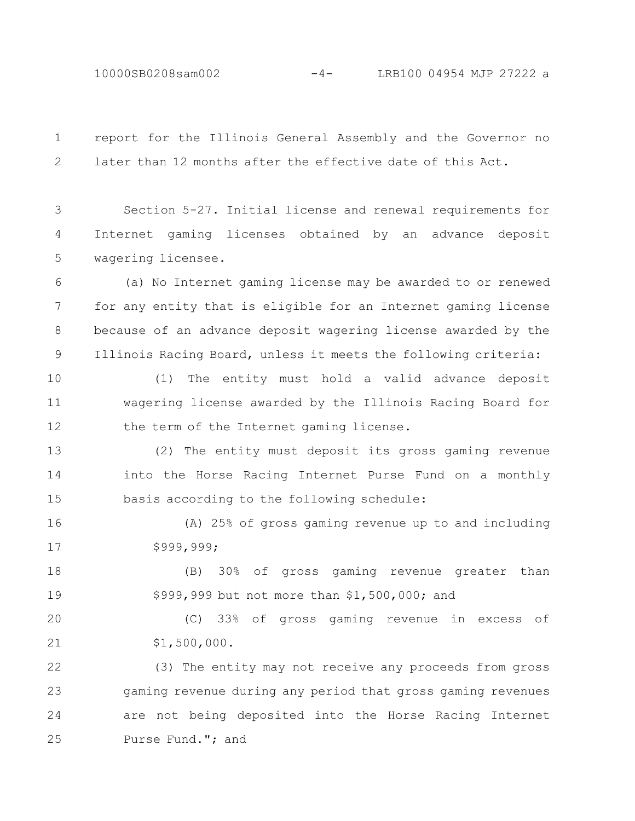10000SB0208sam002 -4- LRB100 04954 MJP 27222 a

report for the Illinois General Assembly and the Governor no later than 12 months after the effective date of this Act. 1 2

Section 5-27. Initial license and renewal requirements for Internet gaming licenses obtained by an advance deposit wagering licensee. 3 4 5

(a) No Internet gaming license may be awarded to or renewed for any entity that is eligible for an Internet gaming license because of an advance deposit wagering license awarded by the Illinois Racing Board, unless it meets the following criteria: 6 7 8 9

(1) The entity must hold a valid advance deposit wagering license awarded by the Illinois Racing Board for the term of the Internet gaming license. 10 11 12

(2) The entity must deposit its gross gaming revenue into the Horse Racing Internet Purse Fund on a monthly basis according to the following schedule: 13 14 15

(A) 25% of gross gaming revenue up to and including \$999,999; 16 17

(B) 30% of gross gaming revenue greater than \$999,999 but not more than \$1,500,000; and 18 19

(C) 33% of gross gaming revenue in excess of \$1,500,000. 20 21

(3) The entity may not receive any proceeds from gross gaming revenue during any period that gross gaming revenues are not being deposited into the Horse Racing Internet Purse Fund."; and 22 23 24 25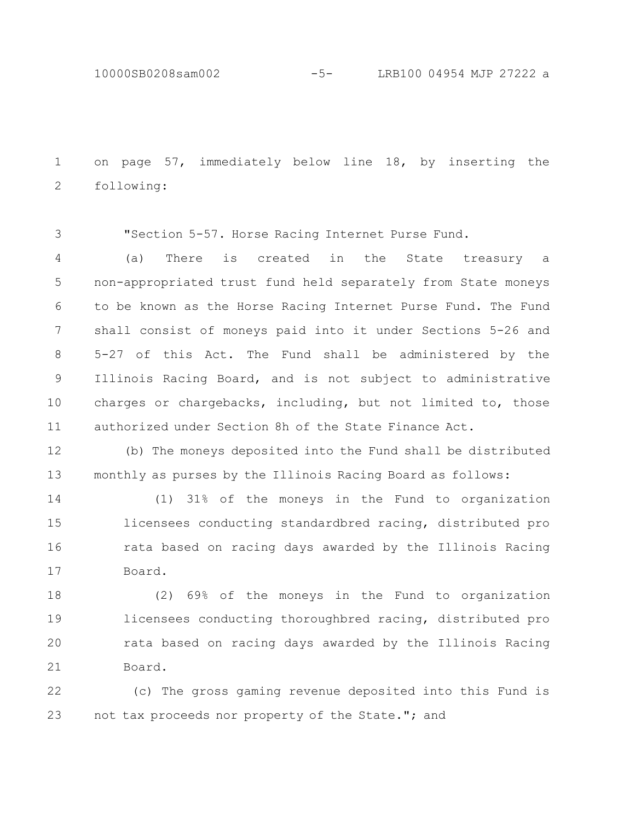10000SB0208sam002 -5- LRB100 04954 MJP 27222 a

on page 57, immediately below line 18, by inserting the following: 1 2

"Section 5-57. Horse Racing Internet Purse Fund. 3

(a) There is created in the State treasury a non-appropriated trust fund held separately from State moneys to be known as the Horse Racing Internet Purse Fund. The Fund shall consist of moneys paid into it under Sections 5-26 and 5-27 of this Act. The Fund shall be administered by the Illinois Racing Board, and is not subject to administrative charges or chargebacks, including, but not limited to, those authorized under Section 8h of the State Finance Act. 4 5 6 7 8 9 10 11

(b) The moneys deposited into the Fund shall be distributed monthly as purses by the Illinois Racing Board as follows: 12 13

(1) 31% of the moneys in the Fund to organization licensees conducting standardbred racing, distributed pro rata based on racing days awarded by the Illinois Racing Board. 14 15 16 17

(2) 69% of the moneys in the Fund to organization licensees conducting thoroughbred racing, distributed pro rata based on racing days awarded by the Illinois Racing Board. 18 19 20 21

(c) The gross gaming revenue deposited into this Fund is not tax proceeds nor property of the State."; and 22 23